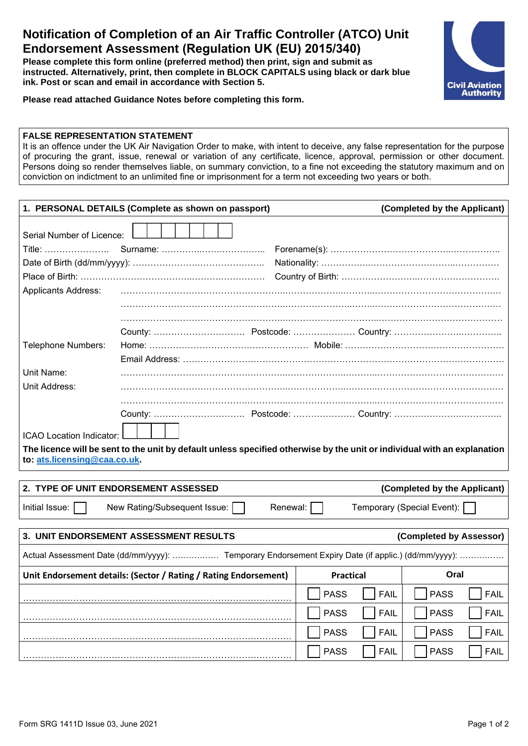## **Notification of Completion of an Air Traffic Controller (ATCO) Unit Endorsement Assessment (Regulation UK (EU) 2015/340)**

**Please complete this form online (preferred method) then print, sign and submit as instructed. Alternatively, print, then complete in BLOCK CAPITALS using black or dark blue ink. Post or scan and email in accordance with Section 5.**



**Please read attached Guidance Notes before completing this form.**

#### **FALSE REPRESENTATION STATEMENT**

It is an offence under the UK Air Navigation Order to make, with intent to deceive, any false representation for the purpose of procuring the grant, issue, renewal or variation of any certificate, licence, approval, permission or other document. Persons doing so render themselves liable, on summary conviction, to a fine not exceeding the statutory maximum and on conviction on indictment to an unlimited fine or imprisonment for a term not exceeding two years or both.

| 1. PERSONAL DETAILS (Complete as shown on passport)                                                                      |  | (Completed by the Applicant) |                            |  |
|--------------------------------------------------------------------------------------------------------------------------|--|------------------------------|----------------------------|--|
| Serial Number of Licence:                                                                                                |  |                              |                            |  |
| Title:                                                                                                                   |  |                              |                            |  |
|                                                                                                                          |  |                              |                            |  |
|                                                                                                                          |  |                              |                            |  |
| <b>Applicants Address:</b>                                                                                               |  |                              |                            |  |
|                                                                                                                          |  |                              |                            |  |
|                                                                                                                          |  |                              |                            |  |
|                                                                                                                          |  |                              |                            |  |
| Telephone Numbers:                                                                                                       |  |                              |                            |  |
|                                                                                                                          |  |                              |                            |  |
| Unit Name:                                                                                                               |  |                              |                            |  |
| Unit Address:                                                                                                            |  |                              |                            |  |
|                                                                                                                          |  |                              |                            |  |
|                                                                                                                          |  |                              |                            |  |
| ICAO Location Indicator:                                                                                                 |  |                              |                            |  |
| The licence will be sent to the unit by default unless specified otherwise by the unit or individual with an explanation |  |                              |                            |  |
| to: ats.licensing@caa.co.uk.                                                                                             |  |                              |                            |  |
|                                                                                                                          |  |                              |                            |  |
| 2. TYPE OF UNIT ENDORSEMENT ASSESSED<br>(Completed by the Applicant)                                                     |  |                              |                            |  |
| Initial Issue:<br>New Rating/Subsequent Issue:<br>Renewal:<br>Temporary (Special Event):                                 |  |                              |                            |  |
| 3. UNIT ENDORSEMENT ASSESSMENT RESULTS<br>(Completed by Assessor)                                                        |  |                              |                            |  |
| Actual Assessment Date (dd/mm/yyyy):  Temporary Endorsement Expiry Date (if applic.) (dd/mm/yyyy):                       |  |                              |                            |  |
| Unit Endorsement details: (Sector / Rating / Rating Endorsement)                                                         |  | <b>Practical</b>             | Oral                       |  |
|                                                                                                                          |  | <b>PASS</b><br><b>FAIL</b>   | <b>PASS</b><br><b>FAIL</b> |  |
|                                                                                                                          |  | <b>PASS</b><br><b>FAIL</b>   | <b>PASS</b><br><b>FAIL</b> |  |
|                                                                                                                          |  | <b>PASS</b><br><b>FAIL</b>   | <b>PASS</b><br><b>FAIL</b> |  |
|                                                                                                                          |  | <b>PASS</b><br><b>FAIL</b>   | <b>PASS</b><br><b>FAIL</b> |  |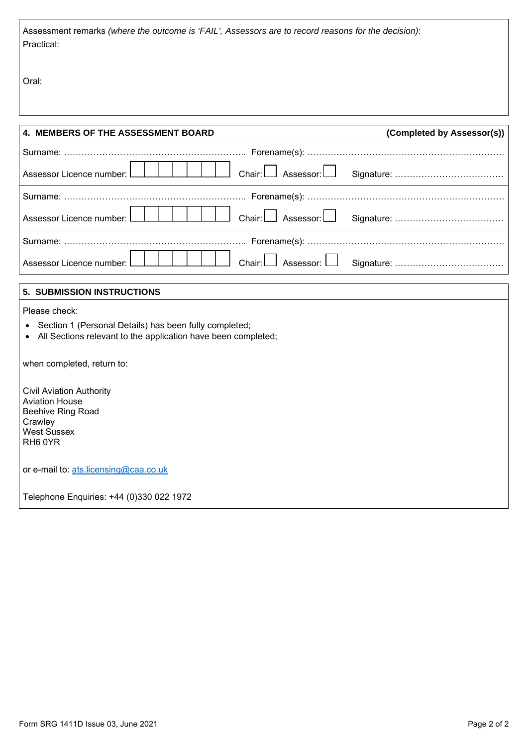Assessment remarks *(where the outcome is 'FAIL', Assessors are to record reasons for the decision)*: Practical:

Oral:

| 4. MEMBERS OF THE ASSESSMENT BOARD                                                                                      | (Completed by Assessor(s)) |  |  |  |
|-------------------------------------------------------------------------------------------------------------------------|----------------------------|--|--|--|
|                                                                                                                         |                            |  |  |  |
| Assessor Licence number:<br>Chair: l<br>Assessor:                                                                       |                            |  |  |  |
|                                                                                                                         |                            |  |  |  |
| Chair: [<br>Assessor: $\Box$<br>Assessor Licence number:                                                                |                            |  |  |  |
|                                                                                                                         |                            |  |  |  |
| Assessor:<br>Chair:<br>Assessor Licence number:                                                                         |                            |  |  |  |
| 5. SUBMISSION INSTRUCTIONS                                                                                              |                            |  |  |  |
| Please check:                                                                                                           |                            |  |  |  |
| Section 1 (Personal Details) has been fully completed;<br>All Sections relevant to the application have been completed; |                            |  |  |  |
| when completed, return to:                                                                                              |                            |  |  |  |
| <b>Civil Aviation Authority</b>                                                                                         |                            |  |  |  |
| <b>Aviation House</b><br>Beehive Ring Road                                                                              |                            |  |  |  |
| Crawley                                                                                                                 |                            |  |  |  |
| <b>West Sussex</b><br>RH60YR                                                                                            |                            |  |  |  |
| or e-mail to: ats.licensing@caa.co.uk                                                                                   |                            |  |  |  |
| Telephone Enquiries: +44 (0)330 022 1972                                                                                |                            |  |  |  |